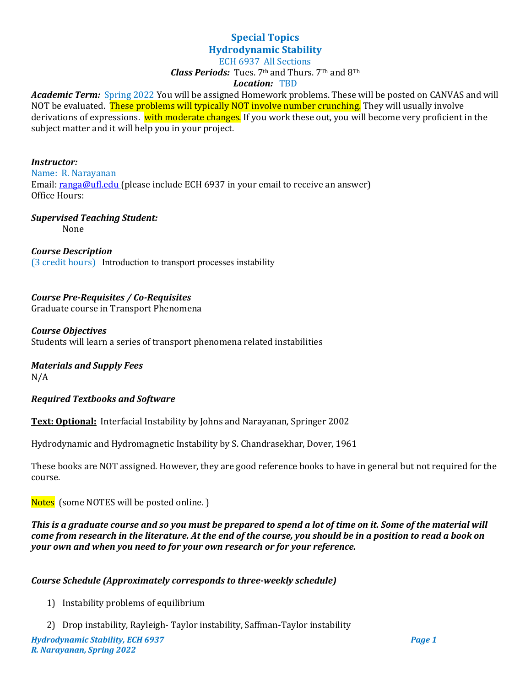# **Special Topics Hydrodynamic Stability**

#### ECH 6937 All Sections

*Class Periods:* Tues. 7th and Thurs. 7Th and 8Th

#### *Location:* TBD

*Academic Term:* Spring 2022 You will be assigned Homework problems. These will be posted on CANVAS and will NOT be evaluated. These problems will typically NOT involve number crunching. They will usually involve derivations of expressions. with moderate changes. If you work these out, you will become very proficient in the subject matter and it will help you in your project.

#### *Instructor:* Name: R. Narayanan Email: [ranga@ufl.edu](mailto:ranga@ufl.edu) (please include ECH 6937 in your email to receive an answer) Office Hours:

# *Supervised Teaching Student:*

None

*Course Description* (3 credit hours) Introduction to transport processes instability

#### *Course Pre-Requisites / Co-Requisites*

Graduate course in Transport Phenomena

#### *Course Objectives*

Students will learn a series of transport phenomena related instabilities

# *Materials and Supply Fees*

N/A

#### *Required Textbooks and Software*

**Text: Optional:** Interfacial Instability by Johns and Narayanan, Springer 2002

Hydrodynamic and Hydromagnetic Instability by S. Chandrasekhar, Dover, 1961

These books are NOT assigned. However, they are good reference books to have in general but not required for the course.

Notes (some NOTES will be posted online. )

*This is a graduate course and so you must be prepared to spend a lot of time on it. Some of the material will come from research in the literature. At the end of the course, you should be in a position to read a book on your own and when you need to for your own research or for your reference.*

#### *Course Schedule (Approximately corresponds to three-weekly schedule)*

- 1) Instability problems of equilibrium
- 2) Drop instability, Rayleigh- Taylor instability, Saffman-Taylor instability

*Hydrodynamic Stability, ECH 6937 Page 1 R. Narayanan, Spring 2022*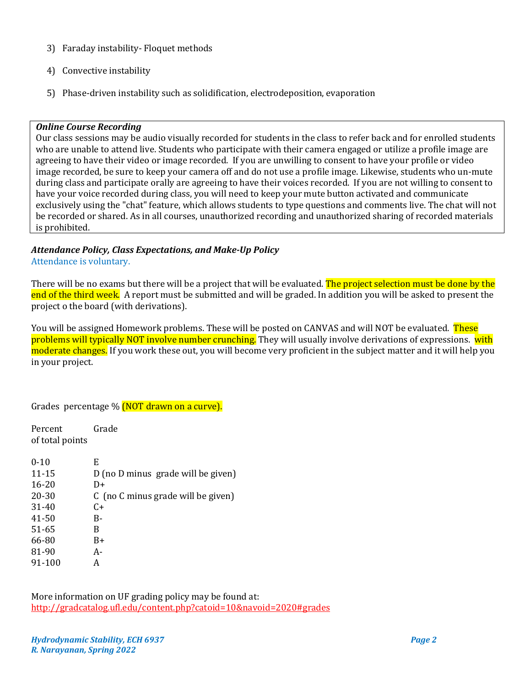- 3) Faraday instability- Floquet methods
- 4) Convective instability
- 5) Phase-driven instability such as solidification, electrodeposition, evaporation

#### *Online Course Recording*

Our class sessions may be audio visually recorded for students in the class to refer back and for enrolled students who are unable to attend live. Students who participate with their camera engaged or utilize a profile image are agreeing to have their video or image recorded. If you are unwilling to consent to have your profile or video image recorded, be sure to keep your camera off and do not use a profile image. Likewise, students who un-mute during class and participate orally are agreeing to have their voices recorded. If you are not willing to consent to have your voice recorded during class, you will need to keep your mute button activated and communicate exclusively using the "chat" feature, which allows students to type questions and comments live. The chat will not be recorded or shared. As in all courses, unauthorized recording and unauthorized sharing of recorded materials is prohibited.

# *Attendance Policy, Class Expectations, and Make-Up Policy*

Attendance is voluntary.

There will be no exams but there will be a project that will be evaluated. The project selection must be done by the end of the third week. A report must be submitted and will be graded. In addition you will be asked to present the project o the board (with derivations).

You will be assigned Homework problems. These will be posted on CANVAS and will NOT be evaluated. These problems will typically NOT involve number crunching. They will usually involve derivations of expressions. with moderate changes. If you work these out, you will become very proficient in the subject matter and it will help you in your project.

Grades percentage % (NOT drawn on a curve).

Percent Grade of total points

| $0 - 10$  | E                                  |
|-----------|------------------------------------|
| $11 - 15$ | D (no D minus grade will be given) |
| $16 - 20$ | D+                                 |
| 20-30     | C (no C minus grade will be given) |
| $31 - 40$ | $C+$                               |
| 41-50     | B-                                 |
| 51-65     | B                                  |
| 66-80     | B+                                 |
| 81-90     | А-                                 |
| 91-100    | А                                  |
|           |                                    |

More information on UF grading policy may be found at: <http://gradcatalog.ufl.edu/content.php?catoid=10&navoid=2020#grades>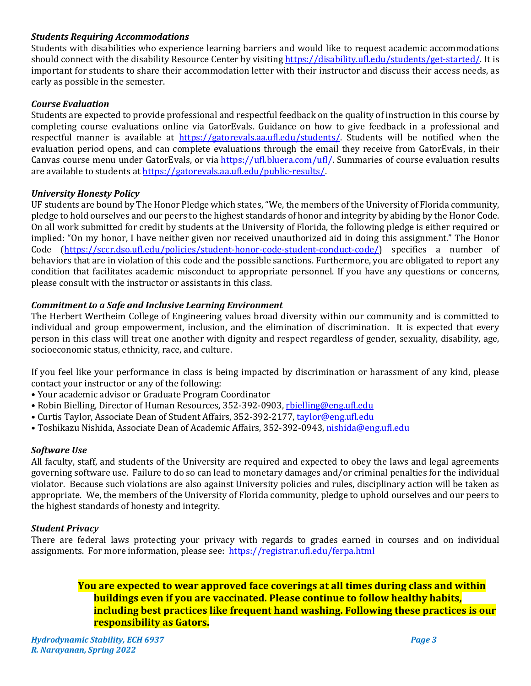#### *Students Requiring Accommodations*

Students with disabilities who experience learning barriers and would like to request academic accommodations should connect with the disability Resource Center by visiting [https://disability.ufl.edu/students/get-started/.](https://disability.ufl.edu/students/get-started/) It is important for students to share their accommodation letter with their instructor and discuss their access needs, as early as possible in the semester.

#### *Course Evaluation*

Students are expected to provide professional and respectful feedback on the quality of instruction in this course by completing course evaluations online via GatorEvals. Guidance on how to give feedback in a professional and respectful manner is available at [https://gatorevals.aa.ufl.edu/students/.](https://gatorevals.aa.ufl.edu/students/) Students will be notified when the evaluation period opens, and can complete evaluations through the email they receive from GatorEvals, in their Canvas course menu under GatorEvals, or via [https://ufl.bluera.com/ufl/.](https://ufl.bluera.com/ufl/) Summaries of course evaluation results are available to students a[t https://gatorevals.aa.ufl.edu/public-results/.](https://gatorevals.aa.ufl.edu/public-results/)

#### *University Honesty Policy*

UF students are bound by The Honor Pledge which states, "We, the members of the University of Florida community, pledge to hold ourselves and our peers to the highest standards of honor and integrity by abiding by the Honor Code. On all work submitted for credit by students at the University of Florida, the following pledge is either required or implied: "On my honor, I have neither given nor received unauthorized aid in doing this assignment." The Honor Code [\(https://sccr.dso.ufl.edu/policies/student-honor-code-student-conduct-code/\)](https://sccr.dso.ufl.edu/policies/student-honor-code-student-conduct-code/) specifies a number of behaviors that are in violation of this code and the possible sanctions. Furthermore, you are obligated to report any condition that facilitates academic misconduct to appropriate personnel. If you have any questions or concerns, please consult with the instructor or assistants in this class.

#### *Commitment to a Safe and Inclusive Learning Environment*

The Herbert Wertheim College of Engineering values broad diversity within our community and is committed to individual and group empowerment, inclusion, and the elimination of discrimination. It is expected that every person in this class will treat one another with dignity and respect regardless of gender, sexuality, disability, age, socioeconomic status, ethnicity, race, and culture.

If you feel like your performance in class is being impacted by discrimination or harassment of any kind, please contact your instructor or any of the following:

- Your academic advisor or Graduate Program Coordinator
- Robin Bielling, Director of Human Resources, 352-392-0903, [rbielling@eng.ufl.edu](mailto:rbielling@eng.ufl.edu)
- Curtis Taylor, Associate Dean of Student Affairs, 352-392-2177[, taylor@eng.ufl.edu](mailto:taylor@eng.ufl.edu)
- · Toshikazu Nishida, Associate Dean of Academic Affairs, 352-392-0943[, nishida@eng.ufl.edu](mailto:nishida@eng.ufl.edu)

#### *Software Use*

All faculty, staff, and students of the University are required and expected to obey the laws and legal agreements governing software use. Failure to do so can lead to monetary damages and/or criminal penalties for the individual violator. Because such violations are also against University policies and rules, disciplinary action will be taken as appropriate. We, the members of the University of Florida community, pledge to uphold ourselves and our peers to the highest standards of honesty and integrity.

#### *Student Privacy*

There are federal laws protecting your privacy with regards to grades earned in courses and on individual assignments. For more information, please see: <https://registrar.ufl.edu/ferpa.html>

> **You are expected to wear approved face coverings at all times during class and within buildings even if you are vaccinated. Please continue to follow healthy habits, including best practices like frequent hand washing. Following these practices is our responsibility as Gators.**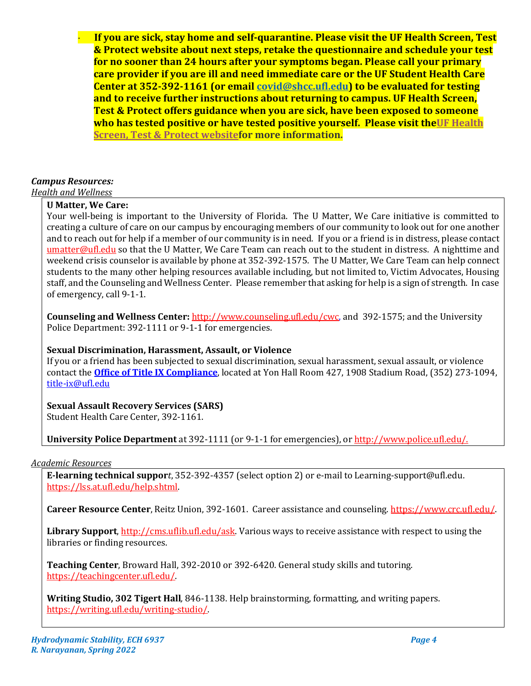· **If you are sick, stay home and self-quarantine. Please visit the UF Health Screen, Test & Protect website about next steps, retake the questionnaire and schedule your test for no sooner than 24 hours after your symptoms began. Please call your primary care provider if you are ill and need immediate care or the UF Student Health Care Center at 352-392-1161 (or email [covid@shcc.ufl.edu\)](mailto:covid@shcc.ufl.edu) to be evaluated for testing and to receive further instructions about returning to campus. UF Health Screen, Test & Protect offers guidance when you are sick, have been exposed to someone who has tested positive or have tested positive yourself. Please visit th[eUF Health](https://click.info.gator360.ufl.edu/?qs=8f0d5e01a3f7385148f144e2089093522a358a8d85cb9db73c31675d3c5e5c0d27748d40c212f544822551342f1912ea5b4f2b890d5952e8)  [Screen, Test & Protect websitef](https://click.info.gator360.ufl.edu/?qs=8f0d5e01a3f7385148f144e2089093522a358a8d85cb9db73c31675d3c5e5c0d27748d40c212f544822551342f1912ea5b4f2b890d5952e8)or more information.**

# *Campus Resources:*

*Health and Wellness* 

# **U Matter, We Care:**

Your well-being is important to the University of Florida. The U Matter, We Care initiative is committed to creating a culture of care on our campus by encouraging members of our community to look out for one another and to reach out for help if a member of our community is in need. If you or a friend is in distress, please contact [umatter@ufl.edu](mailto:umatter@ufl.edu) so that the U Matter, We Care Team can reach out to the student in distress. A nighttime and weekend crisis counselor is available by phone at 352-392-1575. The U Matter, We Care Team can help connect students to the many other helping resources available including, but not limited to, Victim Advocates, Housing staff, and the Counseling and Wellness Center. Please remember that asking for help is a sign of strength. In case of emergency, call 9-1-1.

**Counseling and Wellness Center:** [http://www.counseling.ufl.edu/cwc,](http://www.counseling.ufl.edu/cwc) and 392-1575; and the University Police Department: 392-1111 or 9-1-1 for emergencies.

#### **Sexual Discrimination, Harassment, Assault, or Violence**

If you or a friend has been subjected to sexual discrimination, sexual harassment, sexual assault, or violence contact the **[Office of Title IX Compliance](https://titleix.ufl.edu/)**, located at Yon Hall Room 427, 1908 Stadium Road, (352) 273-1094, [title-ix@ufl.edu](mailto:title-ix@ufl.edu)

# **Sexual Assault Recovery Services (SARS)**

Student Health Care Center, 392-1161.

**University Police Department** at 392-1111 (or 9-1-1 for emergencies), or [http://www.police.ufl.edu/.](http://www.police.ufl.edu/)

#### *Academic Resources*

**E-learning technical suppor***t*, 352-392-4357 (select option 2) or e-mail to Learning-support@ufl.edu. [https://lss.at.ufl.edu/help.shtml.](https://lss.at.ufl.edu/help.shtml)

**Career Resource Center**, Reitz Union, 392-1601. Career assistance and counseling[. https://www.crc.ufl.edu/.](https://www.crc.ufl.edu/)

**Library Support**[, http://cms.uflib.ufl.edu/ask.](http://cms.uflib.ufl.edu/ask) Various ways to receive assistance with respect to using the libraries or finding resources.

**Teaching Center**, Broward Hall, 392-2010 or 392-6420. General study skills and tutoring. [https://teachingcenter.ufl.edu/.](https://teachingcenter.ufl.edu/)

**Writing Studio, 302 Tigert Hall***,* 846-1138. Help brainstorming, formatting, and writing papers. [https://writing.ufl.edu/writing-studio/.](https://writing.ufl.edu/writing-studio/)